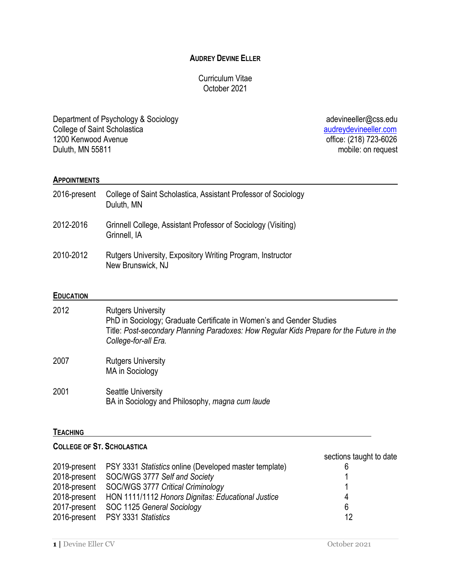## **AUDREY DEVINE ELLER**

## Curriculum Vitae October 2021

Department of Psychology & Sociology **being adevineeller@css.edu** adevineeller@css.edu College of Saint Scholastica<br>
1200 Kenwood Avenue<br>
1200 Kenwood Avenue 1200 Kenwood Avenue office: (218) 723-6026<br>Duluth, MN 55811 mobile: on request

mobile: on request

#### **APPOINTMENTS**

| 2016-present | College of Saint Scholastica, Assistant Professor of Sociology<br>Duluth, MN    |
|--------------|---------------------------------------------------------------------------------|
| 2012-2016    | Grinnell College, Assistant Professor of Sociology (Visiting)<br>Grinnell, IA   |
| 2010-2012    | Rutgers University, Expository Writing Program, Instructor<br>New Brunswick, NJ |

#### **EDUCATION**

| 2012 | <b>Rutgers University</b><br>PhD in Sociology; Graduate Certificate in Women's and Gender Studies<br>Title: Post-secondary Planning Paradoxes: How Regular Kids Prepare for the Future in the<br>College-for-all Era. |
|------|-----------------------------------------------------------------------------------------------------------------------------------------------------------------------------------------------------------------------|
| 2007 | <b>Rutgers University</b><br><b>MA</b> in Sociology                                                                                                                                                                   |
| 2001 | <b>Seattle University</b><br>BA in Sociology and Philosophy, magna cum laude                                                                                                                                          |

#### **TEACHING**

## **COLLEGE OF ST. SCHOLASTICA**

|                                                                     | sections taught to date |
|---------------------------------------------------------------------|-------------------------|
| 2019-present PSY 3331 Statistics online (Developed master template) |                         |
| 2018-present SOC/WGS 3777 Self and Society                          |                         |
| 2018-present SOC/WGS 3777 Critical Criminology                      |                         |
| 2018-present HON 1111/1112 Honors Dignitas: Educational Justice     | 4                       |
| 2017-present SOC 1125 General Sociology                             | 6                       |
| 2016-present PSY 3331 Statistics                                    | 12                      |
|                                                                     |                         |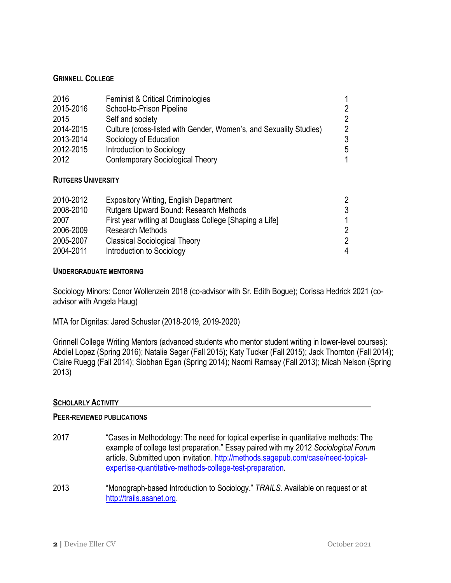## **GRINNELL COLLEGE**

| 2016<br>2015-2016<br>2015<br>2014-2015<br>2013-2014<br>2012-2015 | <b>Feminist &amp; Critical Criminologies</b><br>School-to-Prison Pipeline<br>Self and society<br>Culture (cross-listed with Gender, Women's, and Sexuality Studies)<br>Sociology of Education<br>Introduction to Sociology | 1<br>$\overline{2}$<br>$\overline{2}$<br>$\overline{2}$<br>3<br>5 |
|------------------------------------------------------------------|----------------------------------------------------------------------------------------------------------------------------------------------------------------------------------------------------------------------------|-------------------------------------------------------------------|
| 2012                                                             | <b>Contemporary Sociological Theory</b>                                                                                                                                                                                    | 1                                                                 |
|                                                                  |                                                                                                                                                                                                                            |                                                                   |

### **RUTGERS UNIVERSITY**

| <b>Expository Writing, English Department</b>           | 2 |
|---------------------------------------------------------|---|
| Rutgers Upward Bound: Research Methods                  | 3 |
| First year writing at Douglass College [Shaping a Life] | 1 |
| <b>Research Methods</b>                                 | 2 |
| <b>Classical Sociological Theory</b>                    | 2 |
| Introduction to Sociology                               | 4 |
|                                                         |   |

### **UNDERGRADUATE MENTORING**

Sociology Minors: Conor Wollenzein 2018 (co-advisor with Sr. Edith Bogue); Corissa Hedrick 2021 (coadvisor with Angela Haug)

MTA for Dignitas: Jared Schuster (2018-2019, 2019-2020)

Grinnell College Writing Mentors (advanced students who mentor student writing in lower-level courses): Abdiel Lopez (Spring 2016); Natalie Seger (Fall 2015); Katy Tucker (Fall 2015); Jack Thornton (Fall 2014); Claire Ruegg (Fall 2014); Siobhan Egan (Spring 2014); Naomi Ramsay (Fall 2013); Micah Nelson (Spring 2013)

## **SCHOLARLY ACTIVITY**

#### **PEER-REVIEWED PUBLICATIONS**

- 2017 "Cases in Methodology: The need for topical expertise in quantitative methods: The example of college test preparation." Essay paired with my 2012 *Sociological Forum* article. Submitted upon invitation. http://methods.sagepub.com/case/need-topicalexpertise-quantitative-methods-college-test-preparation.
- 2013 "Monograph-based Introduction to Sociology." *TRAILS.* Available on request or at http://trails.asanet.org.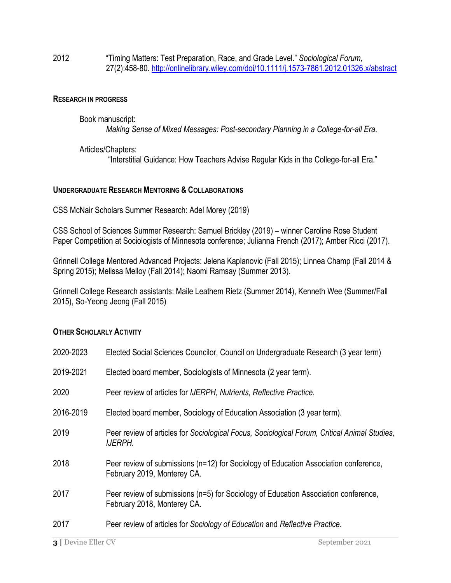2012 "Timing Matters: Test Preparation, Race, and Grade Level." *Sociological Forum*, 27(2):458-80. http://onlinelibrary.wiley.com/doi/10.1111/j.1573-7861.2012.01326.x/abstract

#### **RESEARCH IN PROGRESS**

Book manuscript: *Making Sense of Mixed Messages: Post-secondary Planning in a College-for-all Era*.

Articles/Chapters: "Interstitial Guidance: How Teachers Advise Regular Kids in the College-for-all Era."

### **UNDERGRADUATE RESEARCH MENTORING & COLLABORATIONS**

CSS McNair Scholars Summer Research: Adel Morey (2019)

CSS School of Sciences Summer Research: Samuel Brickley (2019) – winner Caroline Rose Student Paper Competition at Sociologists of Minnesota conference; Julianna French (2017); Amber Ricci (2017).

Grinnell College Mentored Advanced Projects: Jelena Kaplanovic (Fall 2015); Linnea Champ (Fall 2014 & Spring 2015); Melissa Melloy (Fall 2014); Naomi Ramsay (Summer 2013).

Grinnell College Research assistants: Maile Leathem Rietz (Summer 2014), Kenneth Wee (Summer/Fall 2015), So-Yeong Jeong (Fall 2015)

#### **OTHER SCHOLARLY ACTIVITY**

| 2020-2023 | Elected Social Sciences Councilor, Council on Undergraduate Research (3 year term)                                  |
|-----------|---------------------------------------------------------------------------------------------------------------------|
| 2019-2021 | Elected board member, Sociologists of Minnesota (2 year term).                                                      |
| 2020      | Peer review of articles for IJERPH, Nutrients, Reflective Practice.                                                 |
| 2016-2019 | Elected board member, Sociology of Education Association (3 year term).                                             |
| 2019      | Peer review of articles for Sociological Focus, Sociological Forum, Critical Animal Studies,<br>IJERPH.             |
| 2018      | Peer review of submissions (n=12) for Sociology of Education Association conference,<br>February 2019, Monterey CA. |
| 2017      | Peer review of submissions (n=5) for Sociology of Education Association conference,<br>February 2018, Monterey CA.  |
| 2017      | Peer review of articles for Sociology of Education and Reflective Practice.                                         |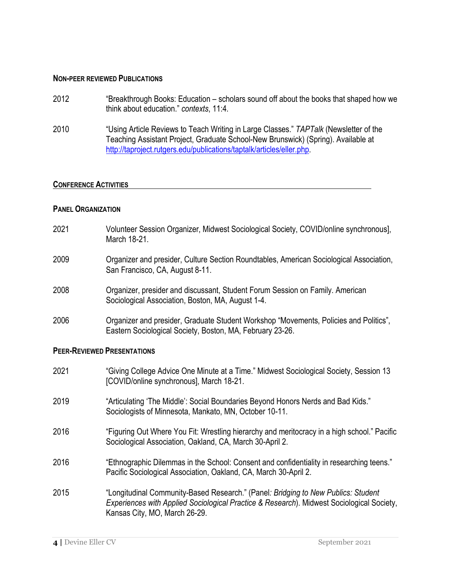#### **NON-PEER REVIEWED PUBLICATIONS**

- 2012 "Breakthrough Books: Education scholars sound off about the books that shaped how we think about education." *contexts*, 11:4.
- 2010 "Using Article Reviews to Teach Writing in Large Classes." *TAPTalk* (Newsletter of the Teaching Assistant Project, Graduate School-New Brunswick) (Spring). Available at http://taproject.rutgers.edu/publications/taptalk/articles/eller.php.

#### **CONFERENCE ACTIVITIES**

#### **PANEL ORGANIZATION**

- 2021 Volunteer Session Organizer, Midwest Sociological Society, COVID/online synchronous], March 18-21.
- 2009 Organizer and presider, Culture Section Roundtables, American Sociological Association, San Francisco, CA, August 8-11.
- 2008 Organizer, presider and discussant, Student Forum Session on Family. American Sociological Association, Boston, MA, August 1-4.
- 2006 Organizer and presider, Graduate Student Workshop "Movements, Policies and Politics", Eastern Sociological Society, Boston, MA, February 23-26.

#### **PEER-REVIEWED PRESENTATIONS**

2021 "Giving College Advice One Minute at a Time." Midwest Sociological Society, Session 13 [COVID/online synchronous], March 18-21. 2019 "Articulating 'The Middle': Social Boundaries Beyond Honors Nerds and Bad Kids." Sociologists of Minnesota, Mankato, MN, October 10-11. 2016 "Figuring Out Where You Fit: Wrestling hierarchy and meritocracy in a high school." Pacific Sociological Association, Oakland, CA, March 30-April 2. 2016 "Ethnographic Dilemmas in the School: Consent and confidentiality in researching teens." Pacific Sociological Association, Oakland, CA, March 30-April 2. 2015 "Longitudinal Community-Based Research." (Panel*: Bridging to New Publics: Student Experiences with Applied Sociological Practice & Research*). Midwest Sociological Society, Kansas City, MO, March 26-29.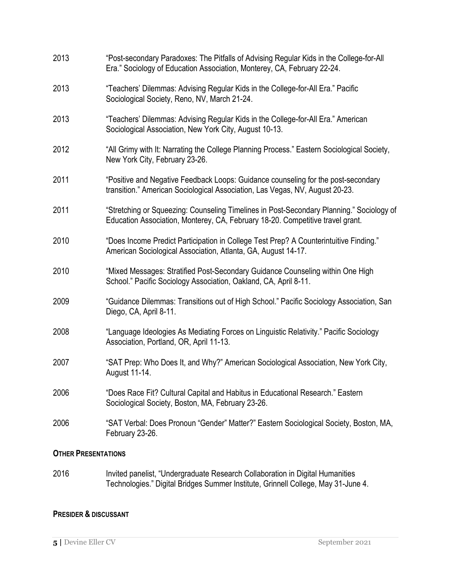| 2013 | "Post-secondary Paradoxes: The Pitfalls of Advising Regular Kids in the College-for-All<br>Era." Sociology of Education Association, Monterey, CA, February 22-24.         |
|------|----------------------------------------------------------------------------------------------------------------------------------------------------------------------------|
| 2013 | "Teachers' Dilemmas: Advising Regular Kids in the College-for-All Era." Pacific<br>Sociological Society, Reno, NV, March 21-24.                                            |
| 2013 | "Teachers' Dilemmas: Advising Regular Kids in the College-for-All Era." American<br>Sociological Association, New York City, August 10-13.                                 |
| 2012 | "All Grimy with It: Narrating the College Planning Process." Eastern Sociological Society,<br>New York City, February 23-26.                                               |
| 2011 | "Positive and Negative Feedback Loops: Guidance counseling for the post-secondary<br>transition." American Sociological Association, Las Vegas, NV, August 20-23.          |
| 2011 | "Stretching or Squeezing: Counseling Timelines in Post-Secondary Planning." Sociology of<br>Education Association, Monterey, CA, February 18-20. Competitive travel grant. |
| 2010 | "Does Income Predict Participation in College Test Prep? A Counterintuitive Finding."<br>American Sociological Association, Atlanta, GA, August 14-17.                     |
| 2010 | "Mixed Messages: Stratified Post-Secondary Guidance Counseling within One High<br>School." Pacific Sociology Association, Oakland, CA, April 8-11.                         |
| 2009 | "Guidance Dilemmas: Transitions out of High School." Pacific Sociology Association, San<br>Diego, CA, April 8-11.                                                          |
| 2008 | "Language Ideologies As Mediating Forces on Linguistic Relativity." Pacific Sociology<br>Association, Portland, OR, April 11-13.                                           |
| 2007 | "SAT Prep: Who Does It, and Why?" American Sociological Association, New York City,<br>August 11-14.                                                                       |
| 2006 | "Does Race Fit? Cultural Capital and Habitus in Educational Research." Eastern<br>Sociological Society, Boston, MA, February 23-26.                                        |
| 2006 | "SAT Verbal: Does Pronoun "Gender" Matter?" Eastern Sociological Society, Boston, MA,<br>February 23-26.                                                                   |
|      |                                                                                                                                                                            |

## **OTHER PRESENTATIONS**

2016 Invited panelist, "Undergraduate Research Collaboration in Digital Humanities Technologies." Digital Bridges Summer Institute, Grinnell College, May 31-June 4.

## **PRESIDER & DISCUSSANT**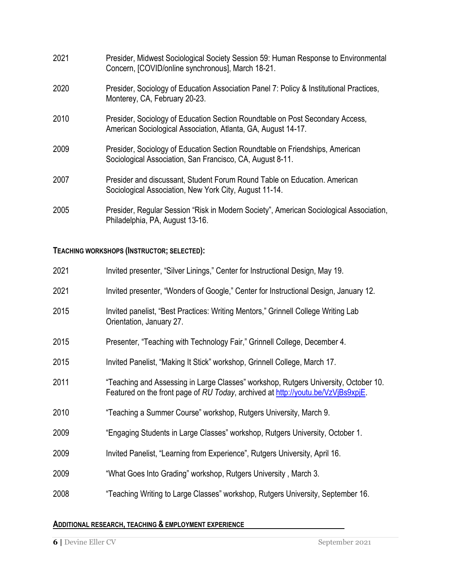| 2021 | Presider, Midwest Sociological Society Session 59: Human Response to Environmental<br>Concern, [COVID/online synchronous], March 18-21.        |
|------|------------------------------------------------------------------------------------------------------------------------------------------------|
| 2020 | Presider, Sociology of Education Association Panel 7: Policy & Institutional Practices,<br>Monterey, CA, February 20-23.                       |
| 2010 | Presider, Sociology of Education Section Roundtable on Post Secondary Access,<br>American Sociological Association, Atlanta, GA, August 14-17. |
| 2009 | Presider, Sociology of Education Section Roundtable on Friendships, American<br>Sociological Association, San Francisco, CA, August 8-11.      |
| 2007 | Presider and discussant, Student Forum Round Table on Education. American<br>Sociological Association, New York City, August 11-14.            |
| 2005 | Presider, Regular Session "Risk in Modern Society", American Sociological Association,<br>Philadelphia, PA, August 13-16.                      |

# **TEACHING WORKSHOPS (INSTRUCTOR; SELECTED):**

| 2021 | Invited presenter, "Silver Linings," Center for Instructional Design, May 19.                                                                                           |
|------|-------------------------------------------------------------------------------------------------------------------------------------------------------------------------|
| 2021 | Invited presenter, "Wonders of Google," Center for Instructional Design, January 12.                                                                                    |
| 2015 | Invited panelist, "Best Practices: Writing Mentors," Grinnell College Writing Lab<br>Orientation, January 27.                                                           |
| 2015 | Presenter, "Teaching with Technology Fair," Grinnell College, December 4.                                                                                               |
| 2015 | Invited Panelist, "Making It Stick" workshop, Grinnell College, March 17.                                                                                               |
| 2011 | "Teaching and Assessing in Large Classes" workshop, Rutgers University, October 10.<br>Featured on the front page of RU Today, archived at http://youtu.be/VzViBs9xpiE. |
| 2010 | "Teaching a Summer Course" workshop, Rutgers University, March 9.                                                                                                       |
| 2009 | "Engaging Students in Large Classes" workshop, Rutgers University, October 1.                                                                                           |
| 2009 | Invited Panelist, "Learning from Experience", Rutgers University, April 16.                                                                                             |
| 2009 | "What Goes Into Grading" workshop, Rutgers University, March 3.                                                                                                         |
| 2008 | "Teaching Writing to Large Classes" workshop, Rutgers University, September 16.                                                                                         |

## **ADDITIONAL RESEARCH, TEACHING & EMPLOYMENT EXPERIENCE**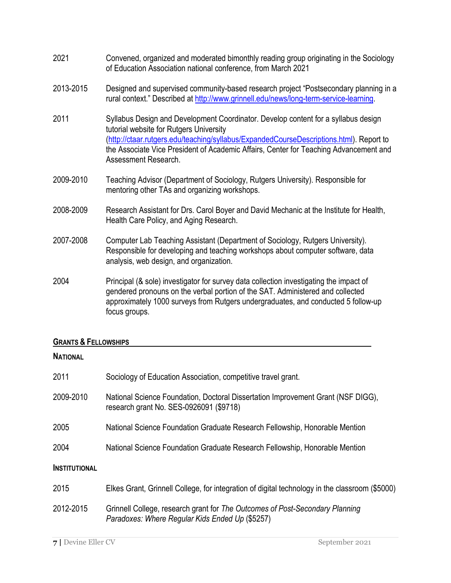- 2021 Convened, organized and moderated bimonthly reading group originating in the Sociology of Education Association national conference, from March 2021
- 2013-2015 Designed and supervised community-based research project "Postsecondary planning in a rural context." Described at http://www.grinnell.edu/news/long-term-service-learning.
- 2011 Syllabus Design and Development Coordinator. Develop content for a syllabus design tutorial website for Rutgers University (http://ctaar.rutgers.edu/teaching/syllabus/ExpandedCourseDescriptions.html). Report to the Associate Vice President of Academic Affairs, Center for Teaching Advancement and Assessment Research.
- 2009-2010 Teaching Advisor (Department of Sociology, Rutgers University). Responsible for mentoring other TAs and organizing workshops.
- 2008-2009 Research Assistant for Drs. Carol Boyer and David Mechanic at the Institute for Health, Health Care Policy, and Aging Research.
- 2007-2008 Computer Lab Teaching Assistant (Department of Sociology, Rutgers University). Responsible for developing and teaching workshops about computer software, data analysis, web design, and organization.
- 2004 Principal (& sole) investigator for survey data collection investigating the impact of gendered pronouns on the verbal portion of the SAT. Administered and collected approximately 1000 surveys from Rutgers undergraduates, and conducted 5 follow-up focus groups.

## **GRANTS & FELLOWSHIPS**

# **NATIONAL**

| 2011                 | Sociology of Education Association, competitive travel grant.                                                                   |
|----------------------|---------------------------------------------------------------------------------------------------------------------------------|
| 2009-2010            | National Science Foundation, Doctoral Dissertation Improvement Grant (NSF DIGG),<br>research grant No. SES-0926091 (\$9718)     |
| 2005                 | National Science Foundation Graduate Research Fellowship, Honorable Mention                                                     |
| 2004                 | National Science Foundation Graduate Research Fellowship, Honorable Mention                                                     |
| <b>INSTITUTIONAL</b> |                                                                                                                                 |
| 2015                 | Elkes Grant, Grinnell College, for integration of digital technology in the classroom (\$5000)                                  |
| 2012-2015            | Grinnell College, research grant for The Outcomes of Post-Secondary Planning<br>Paradoxes: Where Regular Kids Ended Up (\$5257) |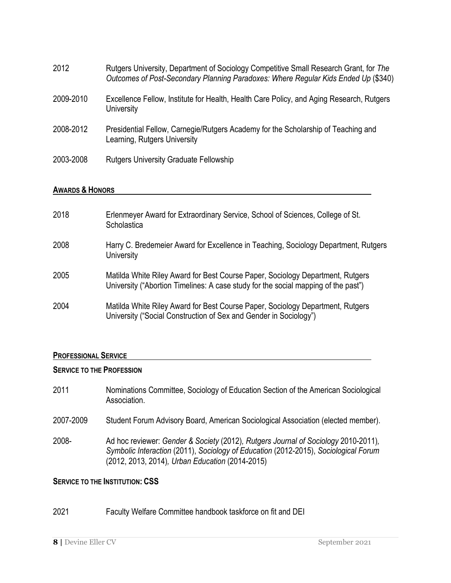| 2012      | Rutgers University, Department of Sociology Competitive Small Research Grant, for The<br>Outcomes of Post-Secondary Planning Paradoxes: Where Regular Kids Ended Up (\$340) |
|-----------|-----------------------------------------------------------------------------------------------------------------------------------------------------------------------------|
| 2009-2010 | Excellence Fellow, Institute for Health, Health Care Policy, and Aging Research, Rutgers<br>University                                                                      |
| 2008-2012 | Presidential Fellow, Carnegie/Rutgers Academy for the Scholarship of Teaching and<br>Learning, Rutgers University                                                           |
| 2003-2008 | <b>Rutgers University Graduate Fellowship</b>                                                                                                                               |

## **AWARDS & HONORS**

| 2018 | Erlenmeyer Award for Extraordinary Service, School of Sciences, College of St.<br>Scholastica                                                                        |
|------|----------------------------------------------------------------------------------------------------------------------------------------------------------------------|
| 2008 | Harry C. Bredemeier Award for Excellence in Teaching, Sociology Department, Rutgers<br>University                                                                    |
| 2005 | Matilda White Riley Award for Best Course Paper, Sociology Department, Rutgers<br>University ("Abortion Timelines: A case study for the social mapping of the past") |
| 2004 | Matilda White Riley Award for Best Course Paper, Sociology Department, Rutgers<br>University ("Social Construction of Sex and Gender in Sociology")                  |

## **PROFESSIONAL SERVICE**

## **SERVICE TO THE PROFESSION**

| 2011      | Nominations Committee, Sociology of Education Section of the American Sociological<br>Association.                                                                                                                           |
|-----------|------------------------------------------------------------------------------------------------------------------------------------------------------------------------------------------------------------------------------|
| 2007-2009 | Student Forum Advisory Board, American Sociological Association (elected member).                                                                                                                                            |
| 2008-     | Ad hoc reviewer: Gender & Society (2012), Rutgers Journal of Sociology 2010-2011),<br>Symbolic Interaction (2011), Sociology of Education (2012-2015), Sociological Forum<br>(2012, 2013, 2014), Urban Education (2014-2015) |

## **SERVICE TO THE INSTITUTION: CSS**

# 2021 Faculty Welfare Committee handbook taskforce on fit and DEI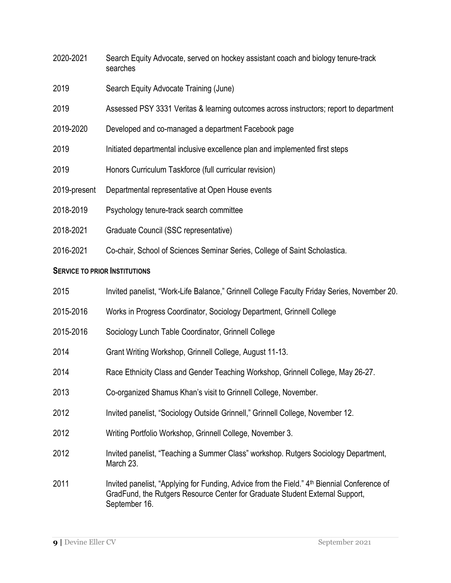- 2020-2021 Search Equity Advocate, served on hockey assistant coach and biology tenure-track searches
- 2019 Search Equity Advocate Training (June)
- 2019 Assessed PSY 3331 Veritas & learning outcomes across instructors; report to department
- 2019-2020 Developed and co-managed a department Facebook page
- 2019 Initiated departmental inclusive excellence plan and implemented first steps
- 2019 Honors Curriculum Taskforce (full curricular revision)
- 2019-present Departmental representative at Open House events
- 2018-2019 Psychology tenure-track search committee
- 2018-2021 Graduate Council (SSC representative)
- 2016-2021 Co-chair, School of Sciences Seminar Series, College of Saint Scholastica.

## **SERVICE TO PRIOR INSTITUTIONS**

- 2015 Invited panelist, "Work-Life Balance," Grinnell College Faculty Friday Series, November 20.
- 2015-2016 Works in Progress Coordinator, Sociology Department, Grinnell College
- 2015-2016 Sociology Lunch Table Coordinator, Grinnell College
- 2014 Grant Writing Workshop, Grinnell College, August 11-13.
- 2014 Race Ethnicity Class and Gender Teaching Workshop, Grinnell College, May 26-27.
- 2013 Co-organized Shamus Khan's visit to Grinnell College, November.
- 2012 Invited panelist, "Sociology Outside Grinnell," Grinnell College, November 12.
- 2012 Writing Portfolio Workshop, Grinnell College, November 3.
- 2012 Invited panelist, "Teaching a Summer Class" workshop. Rutgers Sociology Department, March 23.
- 2011 Invited panelist, "Applying for Funding, Advice from the Field." 4<sup>th</sup> Biennial Conference of GradFund, the Rutgers Resource Center for Graduate Student External Support, September 16.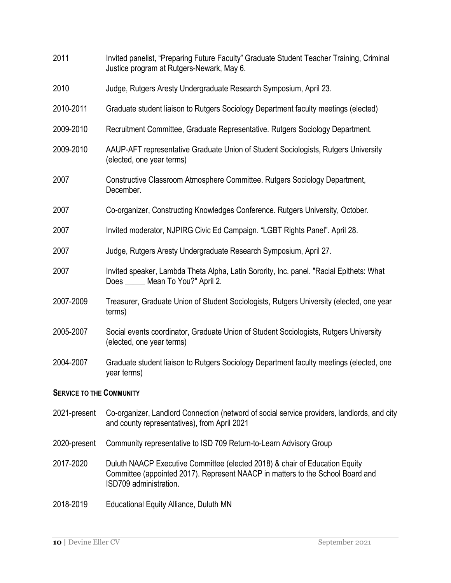- 2011 Invited panelist, "Preparing Future Faculty" Graduate Student Teacher Training, Criminal Justice program at Rutgers-Newark, May 6. 2010 Judge, Rutgers Aresty Undergraduate Research Symposium, April 23. 2010-2011 Graduate student liaison to Rutgers Sociology Department faculty meetings (elected) 2009-2010 Recruitment Committee, Graduate Representative. Rutgers Sociology Department. 2009-2010 AAUP-AFT representative Graduate Union of Student Sociologists, Rutgers University (elected, one year terms) 2007 Constructive Classroom Atmosphere Committee. Rutgers Sociology Department, December. 2007 Co-organizer, Constructing Knowledges Conference. Rutgers University, October. 2007 Invited moderator, NJPIRG Civic Ed Campaign. "LGBT Rights Panel". April 28. 2007 Judge, Rutgers Aresty Undergraduate Research Symposium, April 27. 2007 Invited speaker, Lambda Theta Alpha, Latin Sorority, Inc. panel. "Racial Epithets: What Does \_\_\_\_\_ Mean To You?" April 2. 2007-2009 Treasurer, Graduate Union of Student Sociologists, Rutgers University (elected, one year terms) 2005-2007 Social events coordinator, Graduate Union of Student Sociologists, Rutgers University (elected, one year terms) 2004-2007 Graduate student liaison to Rutgers Sociology Department faculty meetings (elected, one year terms) **SERVICE TO THE COMMUNITY** 2021-present Co-organizer, Landlord Connection (netword of social service providers, landlords, and city and county representatives), from April 2021 2020-present Community representative to ISD 709 Return-to-Learn Advisory Group 2017-2020 Duluth NAACP Executive Committee (elected 2018) & chair of Education Equity Committee (appointed 2017). Represent NAACP in matters to the School Board and ISD709 administration.
- 2018-2019 Educational Equity Alliance, Duluth MN